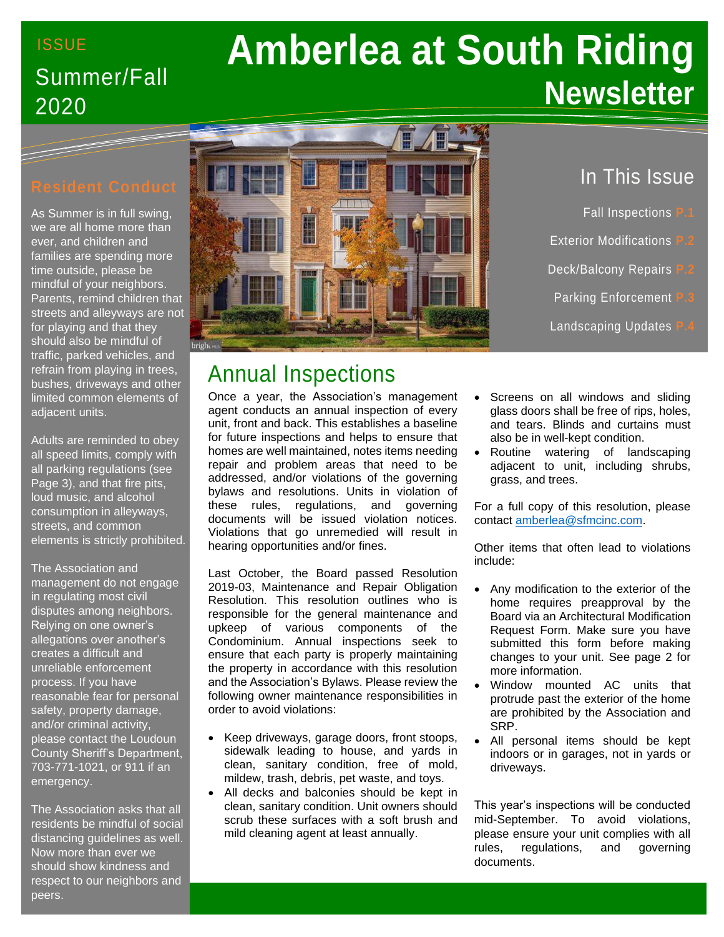# ISSUE Summer/Fall 2020

# **Amberlea at South Riding Newsletter**

As Summer is in full swing, we are all home more than ever, and children and families are spending more time outside, please be mindful of your neighbors. Parents, remind children that streets and alleyways are not for playing and that they should also be mindful of traffic, parked vehicles, and refrain from playing in trees, bushes, driveways and other limited common elements of adjacent units.

Adults are reminded to obey all speed limits, comply with all parking regulations (see Page 3), and that fire pits, loud music, and alcohol consumption in alleyways, streets, and common elements is strictly prohibited.

The Association and management do not engage in regulating most civil disputes among neighbors. Relying on one owner's allegations over another's creates a difficult and unreliable enforcement process. If you have reasonable fear for personal safety, property damage, and/or criminal activity, please contact the Loudoun County Sheriff's Department, 703-771-1021, or 911 if an emergency.

The Association asks that all residents be mindful of social distancing guidelines as well. Now more than ever we should show kindness and respect to our neighbors and peers.



# Annual Inspections

Once a year, the Association's management agent conducts an annual inspection of every unit, front and back. This establishes a baseline for future inspections and helps to ensure that homes are well maintained, notes items needing repair and problem areas that need to be addressed, and/or violations of the governing bylaws and resolutions. Units in violation of these rules, regulations, and governing documents will be issued violation notices. Violations that go unremedied will result in hearing opportunities and/or fines.

Last October, the Board passed Resolution 2019-03, Maintenance and Repair Obligation Resolution. This resolution outlines who is responsible for the general maintenance and upkeep of various components of the Condominium. Annual inspections seek to ensure that each party is properly maintaining the property in accordance with this resolution and the Association's Bylaws. Please review the following owner maintenance responsibilities in order to avoid violations:

- Keep driveways, garage doors, front stoops, sidewalk leading to house, and yards in clean, sanitary condition, free of mold, mildew, trash, debris, pet waste, and toys.
- All decks and balconies should be kept in clean, sanitary condition. Unit owners should scrub these surfaces with a soft brush and mild cleaning agent at least annually.

## In This Issue

- Fall Inspections **P.1**
- **Exterior Modifications**
- **Deck/Balcony Repairs**
- **Parking Enforcement**
- **Landscaping Updates**
- Screens on all windows and sliding glass doors shall be free of rips, holes, and tears. Blinds and curtains must also be in well-kept condition.
- Routine watering of landscaping adjacent to unit, including shrubs, grass, and trees.

For a full copy of this resolution, please contact [amberlea@sfmcinc.com.](mailto:amberlea@sfmcinc.com)

Other items that often lead to violations include:

- Any modification to the exterior of the home requires preapproval by the Board via an Architectural Modification Request Form. Make sure you have submitted this form before making changes to your unit. See page 2 for more information.
- Window mounted AC units that protrude past the exterior of the home are prohibited by the Association and SRP.
- All personal items should be kept indoors or in garages, not in yards or driveways.

This year's inspections will be conducted mid-September. To avoid violations, please ensure your unit complies with all rules, regulations, and governing documents.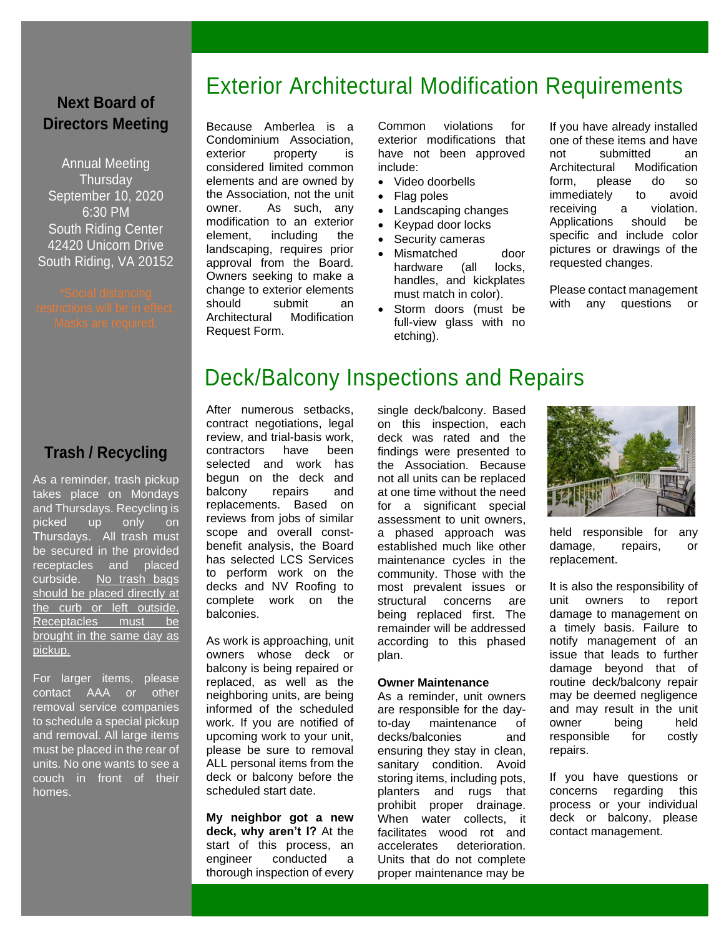#### **Next Board of Directors Meeting**

Annual Meeting **Thursday** September 10, 2020 6:30 PM South Riding Center 42420 Unicorn Drive South Riding, VA 20152

#### **Trash / Recycling**

As a reminder, trash pickup takes place on Mondays and Thursdays. Recycling is picked up only on Thursdays. All trash must be secured in the provided receptacles and placed curbside. No trash bags should be placed directly at the curb or left outside. Receptacles must be brought in the same day as pickup.

For larger items, please contact AAA or other removal service companies to schedule a special pickup and removal. All large items must be placed in the rear of units. No one wants to see a couch in front of their homes.

# Exterior Architectural Modification Requirements

Because Amberlea is a Condominium Association, exterior property is considered limited common elements and are owned by the Association, not the unit owner. As such, any modification to an exterior element, including the landscaping, requires prior approval from the Board. Owners seeking to make a change to exterior elements should submit an Architectural Modification Request Form.

Common violations for exterior modifications that have not been approved include:

- Video doorbells
- Flag poles
- Landscaping changes
- Keypad door locks
- Security cameras
- Mismatched door hardware (all locks, handles, and kickplates must match in color).
- Storm doors (must be full-view glass with no etching).

If you have already installed one of these items and have not submitted an Architectural Modification form, please do so immediately to avoid receiving a violation. Applications should be specific and include color pictures or drawings of the requested changes.

Please contact management with any questions or

# Deck/Balcony Inspections and Repairs

After numerous setbacks, contract negotiations, legal review, and trial-basis work, contractors have been selected and work has begun on the deck and balcony repairs and replacements. Based on reviews from jobs of similar scope and overall constbenefit analysis, the Board has selected LCS Services to perform work on the decks and NV Roofing to complete work on the balconies.

As work is approaching, unit owners whose deck or balcony is being repaired or replaced, as well as the neighboring units, are being informed of the scheduled work. If you are notified of upcoming work to your unit, please be sure to removal ALL personal items from the deck or balcony before the scheduled start date.

**My neighbor got a new deck, why aren't I?** At the start of this process, an engineer conducted a thorough inspection of every single deck/balcony. Based on this inspection, each deck was rated and the findings were presented to the Association. Because not all units can be replaced at one time without the need for a significant special assessment to unit owners, a phased approach was established much like other maintenance cycles in the community. Those with the most prevalent issues or structural concerns are being replaced first. The remainder will be addressed according to this phased plan.

#### **Owner Maintenance**

As a reminder, unit owners are responsible for the dayto-day maintenance of decks/balconies and ensuring they stay in clean, sanitary condition. Avoid storing items, including pots, planters and rugs that prohibit proper drainage. When water collects, it facilitates wood rot and accelerates deterioration. Units that do not complete proper maintenance may be



held responsible for any damage, repairs, or replacement.

It is also the responsibility of unit owners to report damage to management on a timely basis. Failure to notify management of an issue that leads to further damage beyond that of routine deck/balcony repair may be deemed negligence and may result in the unit owner being held responsible for costly repairs.

If you have questions or concerns regarding this process or your individual deck or balcony, please contact management.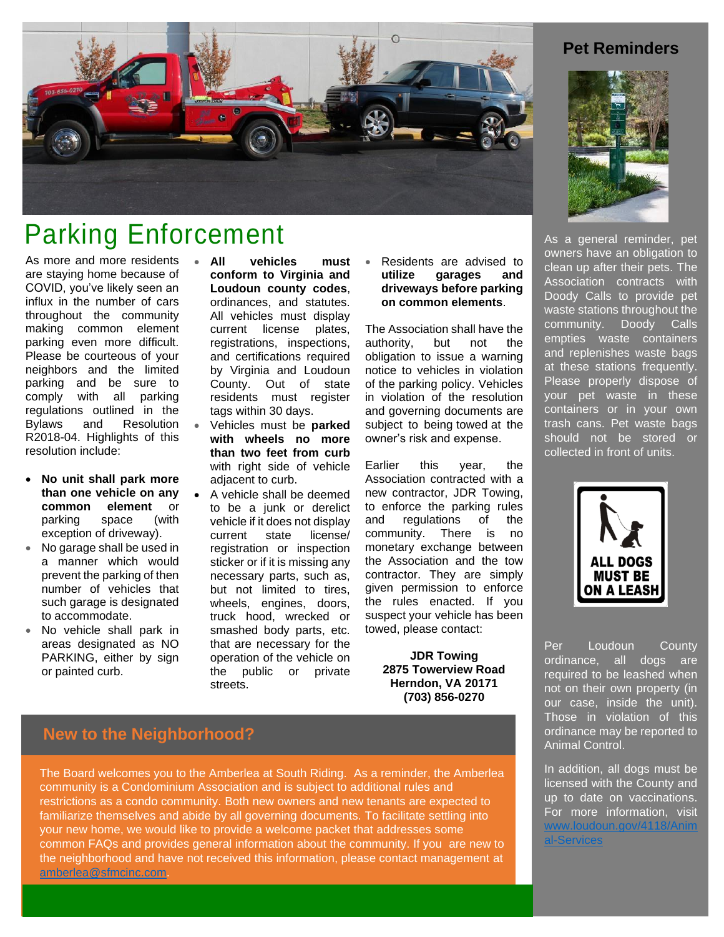

# Parking Enforcement

As more and more residents are staying home because of COVID, you've likely seen an influx in the number of cars throughout the community making common element parking even more difficult. Please be courteous of your neighbors and the limited parking and be sure to comply with all parking regulations outlined in the Bylaws and Resolution R2018-04. Highlights of this resolution include:

- **No unit shall park more than one vehicle on any common element** or parking space (with exception of driveway).
- No garage shall be used in a manner which would prevent the parking of then number of vehicles that such garage is designated to accommodate.
- No vehicle shall park in areas designated as NO PARKING, either by sign or painted curb.
- **All vehicles must conform to Virginia and Loudoun county codes**, ordinances, and statutes. All vehicles must display current license plates, registrations, inspections, and certifications required by Virginia and Loudoun County. Out of state residents must register tags within 30 days.
- Vehicles must be **parked with wheels no more than two feet from curb** with right side of vehicle adjacent to curb.
- A vehicle shall be deemed to be a junk or derelict vehicle if it does not display current state license/ registration or inspection sticker or if it is missing any necessary parts, such as, but not limited to tires, wheels, engines, doors, truck hood, wrecked or smashed body parts, etc. that are necessary for the operation of the vehicle on the public or private streets.

#### • Residents are advised to **utilize garages and driveways before parking on common elements**.

The Association shall have the authority, but not the obligation to issue a warning notice to vehicles in violation of the parking policy. Vehicles in violation of the resolution and governing documents are subject to being towed at the owner's risk and expense.

Earlier this year, the Association contracted with a new contractor, JDR Towing, to enforce the parking rules and regulations of the community. There is no monetary exchange between the Association and the tow contractor. They are simply given permission to enforce the rules enacted. If you suspect your vehicle has been towed, please contact:

> **JDR Towing 2875 Towerview Road Herndon, VA 20171 (703) 856-0270**

## **New to the Neighborhood?**

The Board welcomes you to the Amberlea at South Riding. As a reminder, the Amberlea community is a Condominium Association and is subject to additional rules and restrictions as a condo community. Both new owners and new tenants are expected to familiarize themselves and abide by all governing documents. To facilitate settling into your new home, we would like to provide a welcome packet that addresses some common FAQs and provides general information about the community. If you are new to the neighborhood and have not received this information, please contact management at [amberlea@sfmcinc.com.](mailto:amberlea@sfmcinc.com)

#### **Pet Reminders**



As a general reminder, pet owners have an obligation to clean up after their pets. The Association contracts with Doody Calls to provide pet waste stations throughout the community. Doody Calls empties waste containers and replenishes waste bags at these stations frequently. Please properly dispose of your pet waste in these containers or in your own trash cans. Pet waste bags should not be stored or collected in front of units.



Per Loudoun County ordinance, all dogs are required to be leashed when not on their own property (in our case, inside the unit). Those in violation of this ordinance may be reported to Animal Control.

In addition, all dogs must be licensed with the County and up to date on vaccinations. For more information, visit [www.loudoun.gov/4118/Anim](http://www.loudoun.gov/4118/Animal-Services) [al-Services](http://www.loudoun.gov/4118/Animal-Services)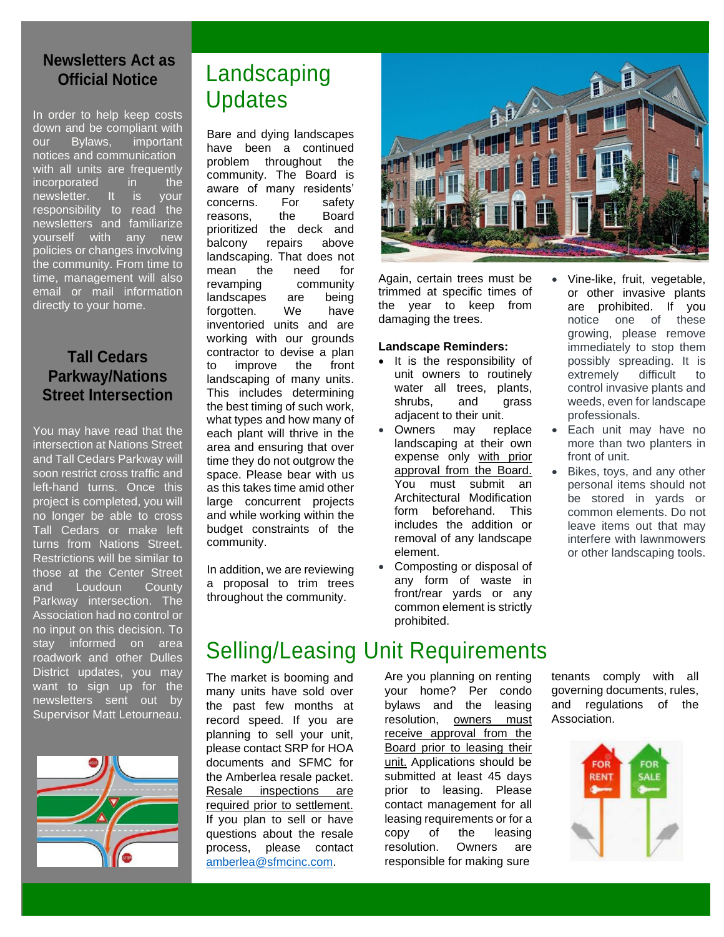#### **Newsletters Act as Official Notice**

In order to help keep costs down and be compliant with our Bylaws, important notices and communication with all units are frequently incorporated in the newsletter. It is your responsibility to read the newsletters and familiarize yourself with any new policies or changes involving the community. From time to time, management will also email or mail information directly to your home.

#### **Tall Cedars Parkway/Nations Street Intersection**

You may have read that the intersection at Nations Street and Tall Cedars Parkway will soon restrict cross traffic and left-hand turns. Once this project is completed, you will no longer be able to cross Tall Cedars or make left turns from Nations Street. Restrictions will be similar to those at the Center Street and Loudoun County Parkway intersection. The Association had no control or no input on this decision. To stay informed on area roadwork and other Dulles District updates, you may want to sign up for the newsletters sent out by Supervisor Matt Letourneau.



# Landscaping **Updates**

Bare and dying landscapes have been a continued problem throughout the community. The Board is aware of many residents' concerns. For safety reasons, the Board prioritized the deck and balcony repairs above landscaping. That does not mean the need for revamping community landscapes are being forgotten. We have inventoried units and are working with our grounds contractor to devise a plan to improve the front landscaping of many units. This includes determining the best timing of such work, what types and how many of each plant will thrive in the area and ensuring that over time they do not outgrow the space. Please bear with us as this takes time amid other large concurrent projects and while working within the budget constraints of the community.

In addition, we are reviewing a proposal to trim trees throughout the community.

The market is booming and many units have sold over the past few months at record speed. If you are planning to sell your unit, please contact SRP for HOA documents and SFMC for the Amberlea resale packet. Resale inspections are required prior to settlement. If you plan to sell or have questions about the resale process, please contact [amberlea@sfmcinc.com.](mailto:amberlea@sfmcinc.com)



Again, certain trees must be trimmed at specific times of the year to keep from damaging the trees.

#### **Landscape Reminders:**

- It is the responsibility of unit owners to routinely water all trees, plants, shrubs, and grass adjacent to their unit.
- Owners may replace landscaping at their own expense only with prior approval from the Board. You must submit an Architectural Modification form beforehand. This includes the addition or removal of any landscape element.
- Composting or disposal of any form of waste in front/rear yards or any common element is strictly prohibited.

Selling/Leasing Unit Requirements

Are you planning on renting your home? Per condo bylaws and the leasing resolution, owners must receive approval from the Board prior to leasing their unit. Applications should be submitted at least 45 days prior to leasing. Please contact management for all leasing requirements or for a copy of the leasing resolution. Owners are responsible for making sure

• Vine-like, fruit, vegetable, or other invasive plants are prohibited. If you<br>notice one of these one of these growing, please remove immediately to stop them possibly spreading. It is extremely difficult to control invasive plants and weeds, even for landscape professionals.

- Each unit may have no more than two planters in front of unit.
- Bikes, toys, and any other personal items should not be stored in yards or common elements. Do not leave items out that may interfere with lawnmowers or other landscaping tools.

tenants comply with all governing documents, rules, and regulations of the Association.